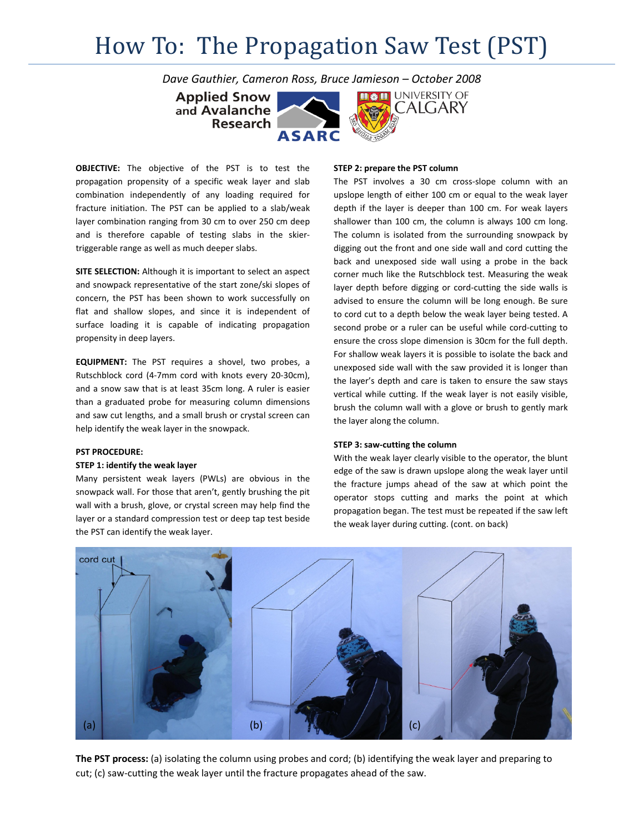# How To: The Propagation Saw Test (PST)

*Dave Gauthier, Cameron Ross, Bruce Jamieson – October 2008*

**Applied Snow** and Avalanche **Research** 



**OBJECTIVE:** The objective of the PST is to test the propagation propensity of a specific weak layer and slab combination independently of any loading required for fracture initiation. The PST can be applied to a slab/weak layer combination ranging from 30 cm to over 250 cm deep and is therefore capable of testing slabs in the skier‐ triggerable range as well as much deeper slabs.

**SITE SELECTION:** Although it is important to select an aspect and snowpack representative of the start zone/ski slopes of concern, the PST has been shown to work successfully on flat and shallow slopes, and since it is independent of surface loading it is capable of indicating propagation propensity in deep layers.

**EQUIPMENT:** The PST requires a shovel, two probes, a Rutschblock cord (4‐7mm cord with knots every 20‐30cm), and a snow saw that is at least 35cm long. A ruler is easier than a graduated probe for measuring column dimensions and saw cut lengths, and a small brush or crystal screen can help identify the weak layer in the snowpack.

#### **PST PROCEDURE:**

#### **STEP 1: identify the weak layer**

Many persistent weak layers (PWLs) are obvious in the snowpack wall. For those that aren't, gently brushing the pit wall with a brush, glove, or crystal screen may help find the layer or a standard compression test or deep tap test beside the PST can identify the weak layer.

## **STEP 2: prepare the PST column**

The PST involves a 30 cm cross-slope column with an upslope length of either 100 cm or equal to the weak layer depth if the layer is deeper than 100 cm. For weak layers shallower than 100 cm, the column is always 100 cm long. The column is isolated from the surrounding snowpack by digging out the front and one side wall and cord cutting the back and unexposed side wall using a probe in the back corner much like the Rutschblock test. Measuring the weak layer depth before digging or cord-cutting the side walls is advised to ensure the column will be long enough. Be sure to cord cut to a depth below the weak layer being tested. A second probe or a ruler can be useful while cord‐cutting to ensure the cross slope dimension is 30cm for the full depth. For shallow weak layers it is possible to isolate the back and unexposed side wall with the saw provided it is longer than the layer's depth and care is taken to ensure the saw stays vertical while cutting. If the weak layer is not easily visible, brush the column wall with a glove or brush to gently mark the layer along the column.

### **STEP 3: saw‐cutting the column**

With the weak layer clearly visible to the operator, the blunt edge of the saw is drawn upslope along the weak layer until the fracture jumps ahead of the saw at which point the operator stops cutting and marks the point at which propagation began. The test must be repeated if the saw left the weak layer during cutting. (cont. on back)



**The PST process:** (a) isolating the column using probes and cord; (b) identifying the weak layer and preparing to cut; (c) saw-cutting the weak layer until the fracture propagates ahead of the saw.